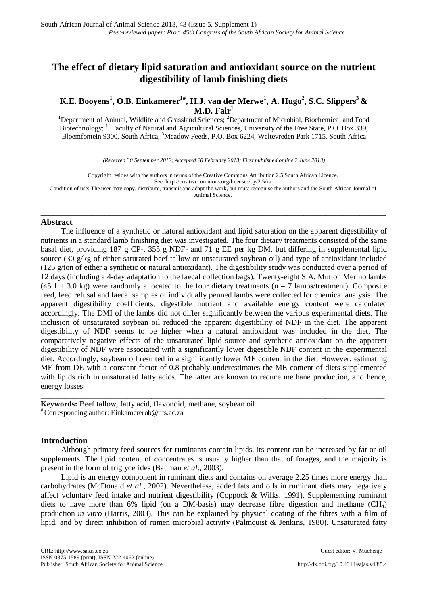# **The effect of dietary lipid saturation and antioxidant source on the nutrient digestibility of lamb finishing diets**

**K.E. Booyens<sup>1</sup>, O.B. Einkamerer<sup>1#</sup>, H.J. van der Merwe<sup>1</sup>, A. Hugo<sup>2</sup>, S.C. Slippers<sup>3</sup> &** M.D. Fair<sup>1</sup>

<sup>1</sup>Department of Animal, Wildlife and Grassland Sciences; <sup>2</sup>Department of Microbial, Biochemical and Food Biotechnology; <sup>1,2</sup>Faculty of Natural and Agricultural Sciences, University of the Free State, P.O. Box 339, Bloemfontein 9300, South Africa; <sup>3</sup>Meadow Feeds, P.O. Box 6224, Weltevreden Park 1715, South Africa

*(Received 30 September 2012; Accepted 20 February 2013; First published online 2 June 2013)*

Copyright resides with the authors in terms of the Creative Commons Attribution 2.5 South African Licence. See[: http://creativecommons.org/licenses/by/2.5/za](http://creativecommons.org/licenses/by/2.5/za) Condition of use: The user may copy, distribute, transmit and adapt the work, but must recognise the authors and the South African Journal of Animal Science.

## \_\_\_\_\_\_\_\_\_\_\_\_\_\_\_\_\_\_\_\_\_\_\_\_\_\_\_\_\_\_\_\_\_\_\_\_\_\_\_\_\_\_\_\_\_\_\_\_\_\_\_\_\_\_\_\_\_\_\_\_\_\_\_\_\_\_\_\_\_\_\_\_\_\_\_\_\_\_\_\_ **Abstract**

The influence of a synthetic or natural antioxidant and lipid saturation on the apparent digestibility of nutrients in a standard lamb finishing diet was investigated. The four dietary treatments consisted of the same basal diet, providing 187 g CP-, 355 g NDF- and 71 g EE per kg DM, but differing in supplemental lipid source (30 g/kg of either saturated beef tallow or unsaturated soybean oil) and type of antioxidant included (125 g/ton of either a synthetic or natural antioxidant). The digestibility study was conducted over a period of 12 days (including a 4-day adaptation to the faecal collection bags). Twenty-eight S.A. Mutton Merino lambs  $(45.1 \pm 3.0 \text{ kg})$  were randomly allocated to the four dietary treatments (n = 7 lambs/treatment). Composite feed, feed refusal and faecal samples of individually penned lambs were collected for chemical analysis. The apparent digestibility coefficients, digestible nutrient and available energy content were calculated accordingly. The DMI of the lambs did not differ significantly between the various experimental diets. The inclusion of unsaturated soybean oil reduced the apparent digestibility of NDF in the diet. The apparent digestibility of NDF seems to be higher when a natural antioxidant was included in the diet. The comparatively negative effects of the unsaturated lipid source and synthetic antioxidant on the apparent digestibility of NDF were associated with a significantly lower digestible NDF content in the experimental diet. Accordingly, soybean oil resulted in a significantly lower ME content in the diet. However, estimating ME from DE with a constant factor of 0.8 probably underestimates the ME content of diets supplemented with lipids rich in unsaturated fatty acids. The latter are known to reduce methane production, and hence, energy losses.

**Keywords:** Beef tallow, fatty acid, flavonoid, methane, soybean oil # Corresponding author: [Einkamererob@ufs.ac.za](mailto:Einkamererob@ufs.ac.za)

# **Introduction**

Although primary feed sources for ruminants contain lipids, its content can be increased by fat or oil supplements. The lipid content of concentrates is usually higher than that of forages, and the majority is present in the form of triglycerides (Bauman *et al*., 2003).

\_\_\_\_\_\_\_\_\_\_\_\_\_\_\_\_\_\_\_\_\_\_\_\_\_\_\_\_\_\_\_\_\_\_\_\_\_\_\_\_\_\_\_\_\_\_\_\_\_\_\_\_\_\_\_\_\_\_\_\_\_\_\_\_\_\_\_\_\_\_\_\_\_\_\_\_\_\_\_\_\_\_\_\_\_\_\_

Lipid is an energy component in ruminant diets and contains on average 2.25 times more energy than carbohydrates (McDonald *et al*., 2002). Nevertheless, added fats and oils in ruminant diets may negatively affect voluntary feed intake and nutrient digestibility (Coppock & Wilks, 1991). Supplementing ruminant diets to have more than 6% lipid (on a DM-basis) may decrease fibre digestion and methane  $(CH_4)$ production *in vitro* (Harris, 2003). This can be explained by physical coating of the fibres with a film of lipid, and by direct inhibition of rumen microbial activity (Palmquist & Jenkins, 1980). Unsaturated fatty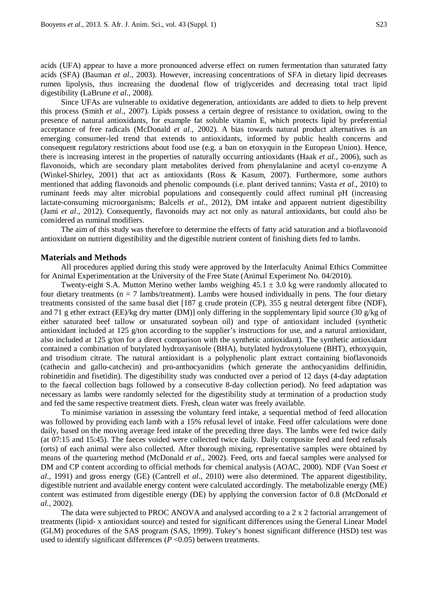acids (UFA) appear to have a more pronounced adverse effect on rumen fermentation than saturated fatty acids (SFA) (Bauman *et al*., 2003). However, increasing concentrations of SFA in dietary lipid decreases rumen lipolysis, thus increasing the duodenal flow of triglycerides and decreasing total tract lipid digestibility (LaBrune *et al*., 2008).

Since UFAs are vulnerable to oxidative degeneration, antioxidants are added to diets to help prevent this process (Smith *et al*., 2007). Lipids possess a certain degree of resistance to oxidation, owing to the presence of natural antioxidants, for example fat soluble vitamin E, which protects lipid by preferential acceptance of free radicals (McDonald *et al*., 2002). A bias towards natural product alternatives is an emerging consumer-led trend that extends to antioxidants, informed by public health concerns and consequent regulatory restrictions about food use (e.g. a ban on etoxyquin in the European Union). Hence, there is increasing interest in the properties of naturally occurring antioxidants (Haak *et al*., 2006), such as flavonoids, which are secondary plant metabolites derived from phenylalanine and acetyl co-enzyme A (Winkel-Shirley, 2001) that act as antioxidants (Ross & Kasum, 2007). Furthermore, some authors mentioned that adding flavonoids and phenolic compounds (i.e. plant derived tannins; Vasta *et al*., 2010) to ruminant feeds may alter microbial populations and consequently could affect ruminal pH (increasing lactate-consuming microorganisms; Balcells *et al*., 2012), DM intake and apparent nutrient digestibility (Jami *et al*., 2012). Consequently, flavonoids may act not only as natural antioxidants, but could also be considered as ruminal modifiers.

The aim of this study was therefore to determine the effects of fatty acid saturation and a bioflavonoid antioxidant on nutrient digestibility and the digestible nutrient content of finishing diets fed to lambs.

#### **Materials and Methods**

All procedures applied during this study were approved by the Interfaculty Animal Ethics Committee for Animal Experimentation at the University of the Free State (Animal Experiment No. 04/2010).

Twenty-eight S.A. Mutton Merino wether lambs weighing  $45.1 \pm 3.0$  kg were randomly allocated to four dietary treatments ( $n = 7$  lambs/treatment). Lambs were housed individually in pens. The four dietary treatments consisted of the same basal diet [187 g crude protein (CP), 355 g neutral detergent fibre (NDF), and 71 g ether extract (EE)/kg dry matter (DM)] only differing in the supplementary lipid source (30 g/kg of either saturated beef tallow or unsaturated soybean oil) and type of antioxidant included (synthetic antioxidant included at 125 g/ton according to the supplier's instructions for use, and a natural antioxidant, also included at 125 g/ton for a direct comparison with the synthetic antioxidant). The synthetic antioxidant contained a combination of butylated hydroxyanisole (BHA), butylated hydroxytoluene (BHT), ethoxyquin, and trisodium citrate. The natural antioxidant is a polyphenolic plant extract containing bioflavonoids (cathecin and gallo-catchecin) and pro-anthocyanidins (which generate the anthocyanidins delfinidin, robinetidin and fisetidin). The digestibility study was conducted over a period of 12 days (4-day adaptation to the faecal collection bags followed by a consecutive 8-day collection period). No feed adaptation was necessary as lambs were randomly selected for the digestibility study at termination of a production study and fed the same respective treatment diets. Fresh, clean water was freely available.

To minimise variation in assessing the voluntary feed intake, a sequential method of feed allocation was followed by providing each lamb with a 15% refusal level of intake. Feed offer calculations were done daily, based on the moving average feed intake of the preceding three days. The lambs were fed twice daily (at 07:15 and 15:45). The faeces voided were collected twice daily. Daily composite feed and feed refusals (orts) of each animal were also collected. After thorough mixing, representative samples were obtained by means of the quartering method (McDonald *et al*., 2002). Feed, orts and faecal samples were analysed for DM and CP content according to official methods for chemical analysis (AOAC, 2000). NDF (Van Soest *et al*., 1991) and gross energy (GE) (Cantrell *et al*., 2010) were also determined. The apparent digestibility, digestible nutrient and available energy content were calculated accordingly. The metabolizable energy (ME) content was estimated from digestible energy (DE) by applying the conversion factor of 0.8 (McDonald *et al.*, 2002).

The data were subjected to PROC ANOVA and analysed according to a 2 x 2 factorial arrangement of treatments (lipid- x antioxidant source) and tested for significant differences using the General Linear Model (GLM) procedures of the SAS program (SAS, 1999). Tukey's honest significant difference (HSD) test was used to identify significant differences  $(P \le 0.05)$  between treatments.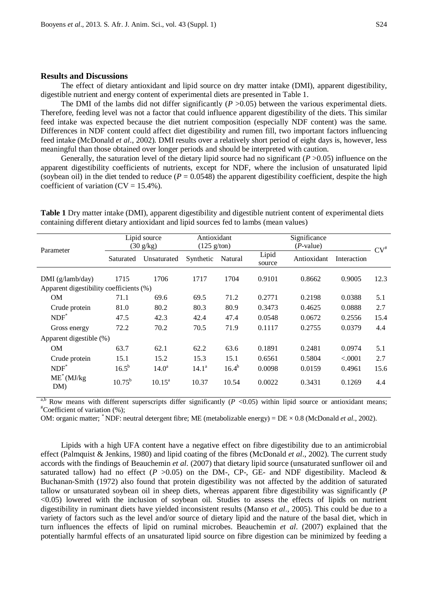## **Results and Discussions**

The effect of dietary antioxidant and lipid source on dry matter intake (DMI), apparent digestibility, digestible nutrient and energy content of experimental diets are presented in Table 1.

The DMI of the lambs did not differ significantly  $(P > 0.05)$  between the various experimental diets. Therefore, feeding level was not a factor that could influence apparent digestibility of the diets. This similar feed intake was expected because the diet nutrient composition (especially NDF content) was the same. Differences in NDF content could affect diet digestibility and rumen fill, two important factors influencing feed intake (McDonald *et al*., 2002). DMI results over a relatively short period of eight days is, however, less meaningful than those obtained over longer periods and should be interpreted with caution.

Generally, the saturation level of the dietary lipid source had no significant (*P* >0.05) influence on the apparent digestibility coefficients of nutrients, except for NDF, where the inclusion of unsaturated lipid (soybean oil) in the diet tended to reduce  $(P = 0.0548)$  the apparent digestibility coefficient, despite the high coefficient of variation  $(CV = 15.4\%)$ .

| Parameter                               | Lipid source        |                    | Antioxidant           |            | Significance    |             |             |        |
|-----------------------------------------|---------------------|--------------------|-----------------------|------------|-----------------|-------------|-------------|--------|
|                                         | $(30 \text{ g/kg})$ |                    | $(125 \text{ g/ton})$ |            | $(P-value)$     |             |             | $CV^*$ |
|                                         | Saturated           | Unsaturated        | Synthetic             | Natural    | Lipid<br>source | Antioxidant | Interaction |        |
| DMI(g/lamb/day)                         | 1715                | 1706               | 1717                  | 1704       | 0.9101          | 0.8662      | 0.9005      | 12.3   |
| Apparent digestibility coefficients (%) |                     |                    |                       |            |                 |             |             |        |
| <b>OM</b>                               | 71.1                | 69.6               | 69.5                  | 71.2       | 0.2771          | 0.2198      | 0.0388      | 5.1    |
| Crude protein                           | 81.0                | 80.2               | 80.3                  | 80.9       | 0.3473          | 0.4625      | 0.0888      | 2.7    |
| $NDF^*$                                 | 47.5                | 42.3               | 42.4                  | 47.4       | 0.0548          | 0.0672      | 0.2556      | 15.4   |
| Gross energy                            | 72.2                | 70.2               | 70.5                  | 71.9       | 0.1117          | 0.2755      | 0.0379      | 4.4    |
| Apparent digestible (%)                 |                     |                    |                       |            |                 |             |             |        |
| <b>OM</b>                               | 63.7                | 62.1               | 62.2                  | 63.6       | 0.1891          | 0.2481      | 0.0974      | 5.1    |
| Crude protein                           | 15.1                | 15.2               | 15.3                  | 15.1       | 0.6561          | 0.5804      | < .0001     | 2.7    |
| $NDF^*$                                 | $16.5^{b}$          | 14.0 <sup>a</sup>  | 14.1 <sup>a</sup>     | $16.4^{b}$ | 0.0098          | 0.0159      | 0.4961      | 15.6   |
| $ME^*(MJ/kg)$<br>DM)                    | $10.75^{\rm b}$     | $10.15^{\text{a}}$ | 10.37                 | 10.54      | 0.0022          | 0.3431      | 0.1269      | 4.4    |

**Table 1** Dry matter intake (DMI), apparent digestibility and digestible nutrient content of experimental diets containing different dietary antioxidant and lipid sources fed to lambs (mean values)

<sup>a,b</sup> Row means with different superscripts differ significantly  $(P \le 0.05)$  within lipid source or antioxidant means; Coefficient of variation (%);

OM: organic matter; \* NDF: neutral detergent fibre; ME (metabolizable energy) = DE × 0.8 (McDonald *et al*., 2002).

Lipids with a high UFA content have a negative effect on fibre digestibility due to an antimicrobial effect (Palmquist & Jenkins, 1980) and lipid coating of the fibres (McDonald *et al*., 2002). The current study accords with the findings of Beauchemin *et al*. (2007) that dietary lipid source (unsaturated sunflower oil and saturated tallow) had no effect ( $P > 0.05$ ) on the DM-, CP-, GE- and NDF digestibility. Macleod & Buchanan-Smith (1972) also found that protein digestibility was not affected by the addition of saturated tallow or unsaturated soybean oil in sheep diets, whereas apparent fibre digestibility was significantly (*P*  <0.05) lowered with the inclusion of soybean oil. Studies to assess the effects of lipids on nutrient digestibility in ruminant diets have yielded inconsistent results (Manso *et al*., 2005). This could be due to a variety of factors such as the level and/or source of dietary lipid and the nature of the basal diet, which in turn influences the effects of lipid on ruminal microbes. Beauchemin *et al*. (2007) explained that the potentially harmful effects of an unsaturated lipid source on fibre digestion can be minimized by feeding a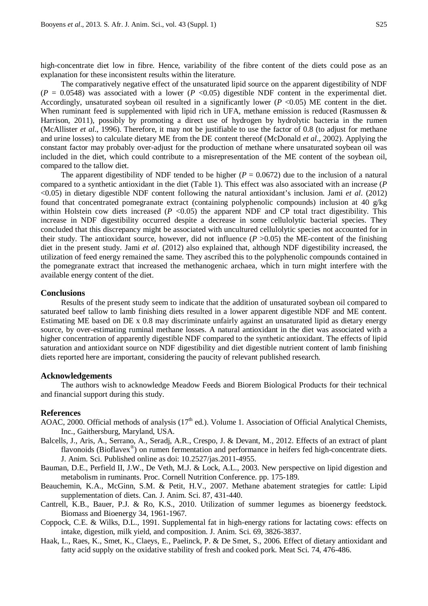high-concentrate diet low in fibre. Hence, variability of the fibre content of the diets could pose as an explanation for these inconsistent results within the literature.

The comparatively negative effect of the unsaturated lipid source on the apparent digestibility of NDF  $(P = 0.0548)$  was associated with a lower  $(P < 0.05)$  digestible NDF content in the experimental diet. Accordingly, unsaturated soybean oil resulted in a significantly lower  $(P \le 0.05)$  ME content in the diet. When ruminant feed is supplemented with lipid rich in UFA, methane emission is reduced (Rasmussen  $\&$ Harrison, 2011), possibly by promoting a direct use of hydrogen by hydrolytic bacteria in the rumen (McAllister *et al*., 1996). Therefore, it may not be justifiable to use the factor of 0.8 (to adjust for methane and urine losses) to calculate dietary ME from the DE content thereof (McDonald *et al*., 2002). Applying the constant factor may probably over-adjust for the production of methane where unsaturated soybean oil was included in the diet, which could contribute to a misrepresentation of the ME content of the soybean oil, compared to the tallow diet.

The apparent digestibility of NDF tended to be higher  $(P = 0.0672)$  due to the inclusion of a natural compared to a synthetic antioxidant in the diet (Table 1). This effect was also associated with an increase (*P* <0.05) in dietary digestible NDF content following the natural antioxidant's inclusion. Jami *et al*. (2012) found that concentrated pomegranate extract (containing polyphenolic compounds) inclusion at 40 g/kg within Holstein cow diets increased  $(P \le 0.05)$  the apparent NDF and CP total tract digestibility. This increase in NDF digestibility occurred despite a decrease in some cellulolytic bacterial species. They concluded that this discrepancy might be associated with uncultured cellulolytic species not accounted for in their study. The antioxidant source, however, did not influence  $(P > 0.05)$  the ME-content of the finishing diet in the present study. Jami *et al*. (2012) also explained that, although NDF digestibility increased, the utilization of feed energy remained the same. They ascribed this to the polyphenolic compounds contained in the pomegranate extract that increased the methanogenic archaea, which in turn might interfere with the available energy content of the diet.

## **Conclusions**

Results of the present study seem to indicate that the addition of unsaturated soybean oil compared to saturated beef tallow to lamb finishing diets resulted in a lower apparent digestible NDF and ME content. Estimating ME based on DE x 0.8 may discriminate unfairly against an unsaturated lipid as dietary energy source, by over-estimating ruminal methane losses. A natural antioxidant in the diet was associated with a higher concentration of apparently digestible NDF compared to the synthetic antioxidant. The effects of lipid saturation and antioxidant source on NDF digestibility and diet digestible nutrient content of lamb finishing diets reported here are important, considering the paucity of relevant published research.

## **Acknowledgements**

The authors wish to acknowledge Meadow Feeds and Biorem Biological Products for their technical and financial support during this study.

## **References**

- AOAC, 2000. Official methods of analysis (17<sup>th</sup> ed.). Volume 1. Association of Official Analytical Chemists, Inc., Gaithersburg, Maryland, USA.
- Balcells, J., Aris, A., Serrano, A., Seradj, A.R., Crespo, J. & Devant, M., 2012. Effects of an extract of plant flavonoids (Bioflavex<sup>®</sup>) on rumen fermentation and performance in heifers fed high-concentrate diets. J. Anim. Sci. Published online as doi: 10.2527/jas.2011-4955.
- Bauman, D.E., Perfield II, J.W., De Veth, M.J. & Lock, A.L., 2003. New perspective on lipid digestion and metabolism in ruminants. Proc. Cornell Nutrition Conference. pp. 175-189.
- Beauchemin, K.A., McGinn, S.M. & Petit, H.V., 2007. Methane abatement strategies for cattle: Lipid supplementation of diets. Can. J. Anim. Sci. 87, 431-440.
- Cantrell, K.B., Bauer, P.J. & Ro, K.S., 2010. Utilization of summer legumes as bioenergy feedstock. Biomass and Bioenergy 34, 1961-1967.
- Coppock, C.E. & Wilks, D.L., 1991. Supplemental fat in high-energy rations for lactating cows: effects on intake, digestion, milk yield, and composition. J. Anim. Sci. 69, 3826-3837.
- Haak, L., Raes, K., Smet, K., Claeys, E., Paelinck, P. & De Smet, S., 2006. Effect of dietary antioxidant and fatty acid supply on the oxidative stability of fresh and cooked pork. Meat Sci. 74, 476-486.